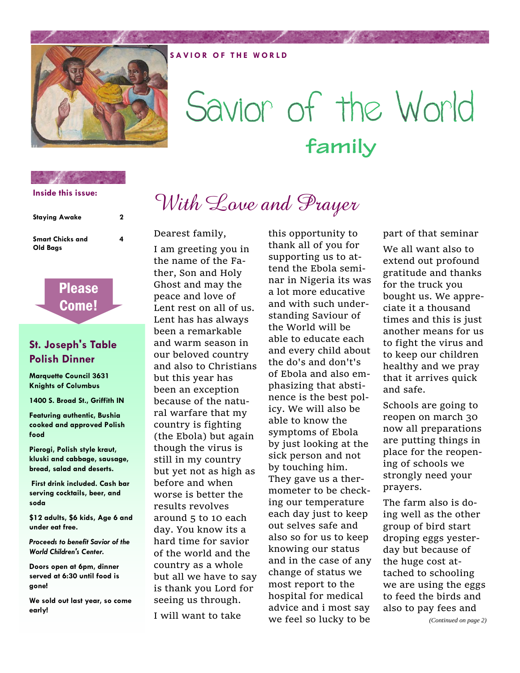

# Savior of the World **family**

## **Inside this issue:**

| <b>Staying Awake</b>                | 2 |
|-------------------------------------|---|
| <b>Smart Chicks and</b><br>Old Bags | 4 |



## **St. Joseph's Table Polish Dinner**

**Marquette Council 3631 Knights of Columbus** 

**1400 S. Broad St., Griffith IN** 

**Featuring authentic, Bushia cooked and approved Polish food** 

**Pierogi, Polish style kraut, kluski and cabbage, sausage, bread, salad and deserts.** 

 **First drink included. Cash bar serving cocktails, beer, and soda** 

**\$12 adults, \$6 kids, Age 6 and under eat free.** 

*Proceeds to benefit Savior of the World Children's Center.* 

**Doors open at 6pm, dinner served at 6:30 until food is gone!** 

**We sold out last year, so come early!** 

# With Love and Prayer

Dearest family,

I am greeting you in the name of the Fa‐ ther, Son and Holy Ghost and may the peace and love of Lent rest on all of us. Lent has has always been a remarkable and warm season in our beloved country and also to Christians but this year has been an exception because of the natu‐ ral warfare that my country is fighting (the Ebola) but again though the virus is still in my country but yet not as high as before and when worse is better the results revolves around 5 to 10 each day. You know its a hard time for savior of the world and the country as a whole but all we have to say is thank you Lord for seeing us through.

I will want to take

this opportunity to thank all of you for supporting us to at‐ tend the Ebola semi‐ nar in Nigeria its was a lot more educative and with such under‐ standing Saviour of the World will be able to educate each and every child about the do's and don't's of Ebola and also em‐ phasizing that absti‐ nence is the best pol‐ icy. We will also be able to know the symptoms of Ebola by just looking at the sick person and not by touching him. They gave us a ther‐ mometer to be check‐ ing our temperature each day just to keep out selves safe and also so for us to keep knowing our status and in the case of any change of status we most report to the hospital for medical advice and i most say we feel so lucky to be

part of that seminar We all want also to extend out profound gratitude and thanks for the truck you bought us. We appre‐ ciate it a thousand times and this is just another means for us to fight the virus and to keep our children healthy and we pray that it arrives quick and safe.

Schools are going to reopen on march 30 now all preparations are putting things in place for the reopen‐ ing of schools we strongly need your prayers.

The farm also is do‐ ing well as the other group of bird start droping eggs yester‐ day but because of the huge cost at‐ tached to schooling we are using the eggs to feed the birds and also to pay fees and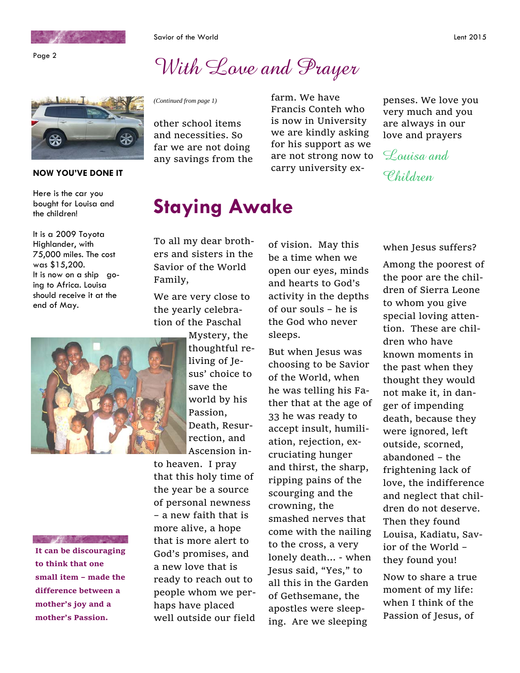

Page 2

Savior of the World **Lent 2015** 

## With Lave and Prayer



## **NOW YOU'VE DONE IT** and the case of the case of the case of  $\ell$  of  $\ell$  of  $\ell$  of  $\ell$  of  $\ell$  of  $\ell$  of  $\ell$  of  $\ell$  of  $\ell$  of  $\ell$  of  $\ell$  of  $\ell$  of  $\ell$  of  $\ell$  of  $\ell$  of  $\ell$  of  $\ell$  of  $\ell$  of  $\ell$  of  $\ell$  of

Here is the car you bought for Louisa and the children!

It is a 2009 Toyota Highlander, with 75,000 miles. The cost was \$15,200. It is now on a ship going to Africa. Louisa should receive it at the end of May.



**ALCOHOL:** 

**It can be discouraging to think that one small item – made the difference between a mother's joy and a mother's Passion.** 

other school items and necessities. So far we are not doing any savings from the

*(Continued from page 1)* farm. We have Francis Conteh who is now in University we are kindly asking for his support as we are not strong now to carry university ex‐

## **Staying Awake**

To all my dear broth‐ ers and sisters in the Savior of the World Family,

We are very close to the yearly celebra‐ tion of the Paschal

> Mystery, the thoughtful re‐ living of Je‐ sus' choice to save the world by his Passion, Death, Resur‐ rection, and Ascension in‐

to heaven. I pray that this holy time of the year be a source of personal newness – a new faith that is more alive, a hope that is more alert to God's promises, and a new love that is ready to reach out to people whom we per‐ haps have placed well outside our field of vision. May this be a time when we open our eyes, minds and hearts to God's activity in the depths of our souls – he is the God who never sleeps.

But when Jesus was choosing to be Savior of the World, when he was telling his Fa‐ ther that at the age of 33 he was ready to accept insult, humili‐ ation, rejection, ex‐ cruciating hunger and thirst, the sharp, ripping pains of the scourging and the crowning, the smashed nerves that come with the nailing to the cross, a very lonely death… ‐ when Jesus said, "Yes," to all this in the Garden of Gethsemane, the apostles were sleep‐ ing. Are we sleeping

penses. We love you very much and you are always in our love and prayers

Louisa and

when Jesus suffers?

Among the poorest of the poor are the chil‐ dren of Sierra Leone to whom you give special loving atten‐ tion. These are chil‐ dren who have known moments in the past when they thought they would not make it, in dan‐ ger of impending death, because they were ignored, left outside, scorned, abandoned – the frightening lack of love, the indifference and neglect that chil‐ dren do not deserve. Then they found Louisa, Kadiatu, Sav‐ ior of the World – they found you!

Now to share a true moment of my life: when I think of the Passion of Jesus, of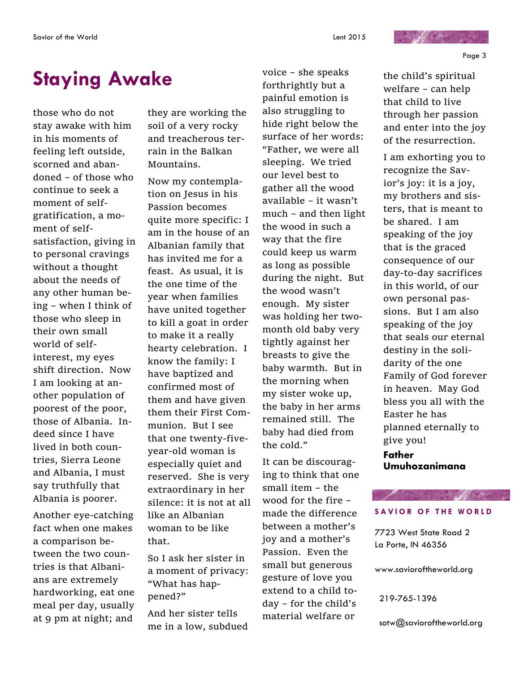## **Staying Awake**

those who do not stay awake with him in his moments of feeling left outside, scorned and aban‐ doned – of those who continue to seek a moment of selfgratification, a mo‐ ment of self‐ satisfaction, giving in to personal cravings without a thought about the needs of any other human be‐ ing – when I think of those who sleep in their own small world of self‐ interest, my eyes shift direction. Now I am looking at an‐ other population of poorest of the poor, those of Albania. In‐ deed since I have lived in both coun‐ tries, Sierra Leone and Albania, I must say truthfully that Albania is poorer.

Another eye‐catching fact when one makes a comparison be‐ tween the two coun‐ tries is that Albani‐ ans are extremely hardworking, eat one meal per day, usually at 9 pm at night; and

they are working the soil of a very rocky and treacherous ter‐ rain in the Balkan Mountains.

Now my contempla‐ tion on Jesus in his Passion becomes quite more specific: I am in the house of an Albanian family that has invited me for a feast. As usual, it is the one time of the year when families have united together to kill a goat in order to make it a really hearty celebration. I know the family: I have baptized and confirmed most of them and have given them their First Com‐ munion. But I see that one twenty‐five‐ year‐old woman is especially quiet and reserved. She is very extraordinary in her silence: it is not at all like an Albanian woman to be like that.

So I ask her sister in a moment of privacy: "What has hap‐ pened?"

And her sister tells me in a low, subdued voice – she speaks forthrightly but a painful emotion is also struggling to hide right below the surface of her words: "Father, we were all sleeping. We tried our level best to gather all the wood available – it wasn't much – and then light the wood in such a way that the fire could keep us warm as long as possible during the night. But the wood wasn't enough. My sister was holding her two‐ month old baby very tightly against her breasts to give the baby warmth. But in the morning when my sister woke up, the baby in her arms remained still. The baby had died from the cold."

It can be discourag‐ ing to think that one small item – the wood for the fire – made the difference between a mother's joy and a mother's Passion. Even the small but generous gesture of love you extend to a child to‐ day – for the child's material welfare or

the child's spiritual welfare – can help that child to live through her passion and enter into the joy of the resurrection.

and the first con-

I am exhorting you to recognize the Sav‐ ior's joy: it is a joy, my brothers and sis‐ ters, that is meant to be shared. I am speaking of the joy that is the graced consequence of our day‐to‐day sacrifices in this world, of our own personal pas‐ sions. But I am also speaking of the joy that seals our eternal destiny in the soli‐ darity of the one Family of God forever in heaven. May God bless you all with the Easter he has planned eternally to give you! **Father Umuhozanimana** 

### **SAVIOR OF THE WORLD**

a province of the said

7723 West State Road 2 La Porte, IN 46356

www.savioroftheworld.org

219-765-1396

sotw@savioroftheworld.org